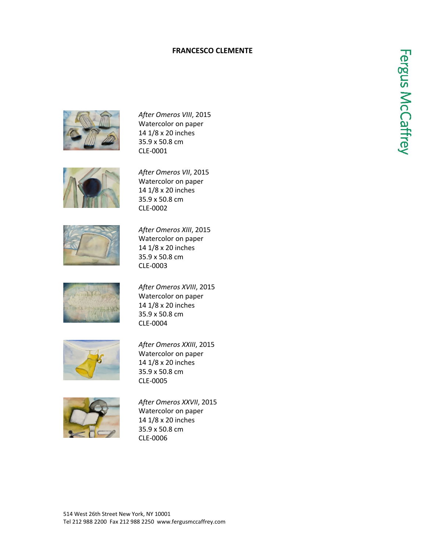## **FRANCESCO CLEMENTE**





*After Omeros VIII*, 2015 Watercolor on paper 14 1/8 x 20 inches 35.9 x 50.8 cm CLE-0001

*After Omeros VII*, 2015 Watercolor on paper 14 1/8 x 20 inches 35.9 x 50.8 cm CLE-0002



*After Omeros XIII*, 2015 Watercolor on paper 14 1/8 x 20 inches 35.9 x 50.8 cm CLE-0003



*After Omeros XVIII*, 2015 Watercolor on paper 14 1/8 x 20 inches 35.9 x 50.8 cm CLE-0004



*After Omeros XXIII*, 2015 Watercolor on paper 14 1/8 x 20 inches 35.9 x 50.8 cm CLE-0005



*After Omeros XXVII*, 2015 Watercolor on paper 14 1/8 x 20 inches 35.9 x 50.8 cm CLE-0006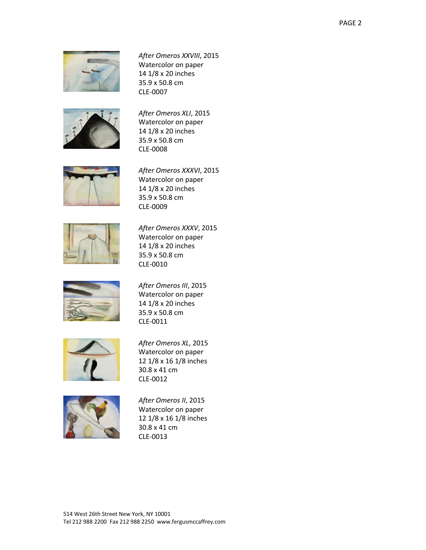

*After Omeros XXVIII*, 2015 Watercolor on paper 14 1/8 x 20 inches 35.9 x 50.8 cm CLE-0007



*After Omeros XLI*, 2015 Watercolor on paper 14 1/8 x 20 inches 35.9 x 50.8 cm CLE-0008



*After Omeros XXXVI*, 2015 Watercolor on paper 14 1/8 x 20 inches 35.9 x 50.8 cm CLE-0009



*After Omeros XXXV*, 2015 Watercolor on paper 14 1/8 x 20 inches 35.9 x 50.8 cm CLE-0010



*After Omeros III*, 2015 Watercolor on paper 14 1/8 x 20 inches 35.9 x 50.8 cm CLE-0011



*After Omeros XL*, 2015 Watercolor on paper 12 1/8 x 16 1/8 inches 30.8 x 41 cm CLE-0012



*After Omeros II*, 2015 Watercolor on paper 12 1/8 x 16 1/8 inches 30.8 x 41 cm CLE-0013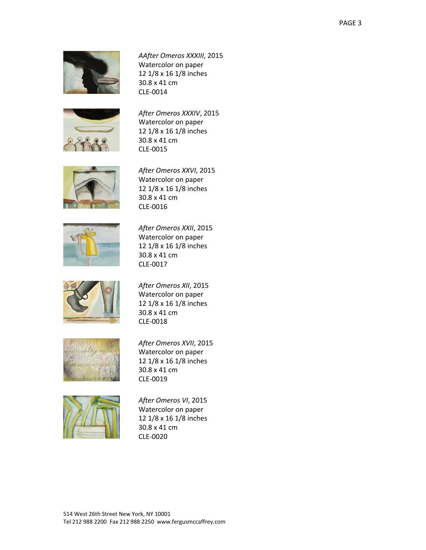

*AAfter Omeros XXXIII*, 2015 Watercolor on paper 12 1/8 x 16 1/8 inches 30.8 x 41 cm CLE-0014



*After Omeros XXXIV*, 2015 Watercolor on paper 12 1/8 x 16 1/8 inches 30.8 x 41 cm CLE-0015



*After Omeros XXVI*, 2015 Watercolor on paper 12 1/8 x 16 1/8 inches 30.8 x 41 cm CLE-0016



*After Omeros XXII*, 2015 Watercolor on paper 12 1/8 x 16 1/8 inches 30.8 x 41 cm CLE-0017



*After Omeros XII*, 2015 Watercolor on paper 12 1/8 x 16 1/8 inches 30.8 x 41 cm CLE-0018



*After Omeros XVII*, 2015 Watercolor on paper 12 1/8 x 16 1/8 inches 30.8 x 41 cm CLE-0019



*After Omeros VI*, 2015 Watercolor on paper 12 1/8 x 16 1/8 inches 30.8 x 41 cm CLE-0020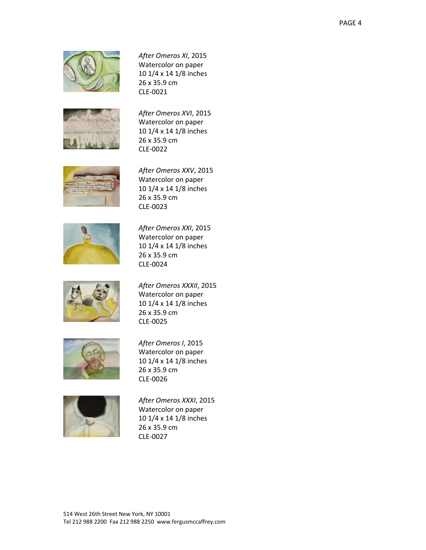

*After Omeros XI*, 2015 Watercolor on paper 10 1/4 x 14 1/8 inches 26 x 35.9 cm CLE-0021



*After Omeros XVI*, 2015 Watercolor on paper 10 1/4 x 14 1/8 inches 26 x 35.9 cm CLE-0022



*After Omeros XXV*, 2015 Watercolor on paper 10 1/4 x 14 1/8 inches 26 x 35.9 cm CLE-0023



*After Omeros XXI*, 2015 Watercolor on paper 10 1/4 x 14 1/8 inches 26 x 35.9 cm CLE-0024



*After Omeros XXXII*, 2015 Watercolor on paper 10 1/4 x 14 1/8 inches 26 x 35.9 cm CLE-0025



*After Omeros I*, 2015 Watercolor on paper 10 1/4 x 14 1/8 inches 26 x 35.9 cm CLE-0026



*After Omeros XXXI*, 2015 Watercolor on paper 10 1/4 x 14 1/8 inches 26 x 35.9 cm CLE-0027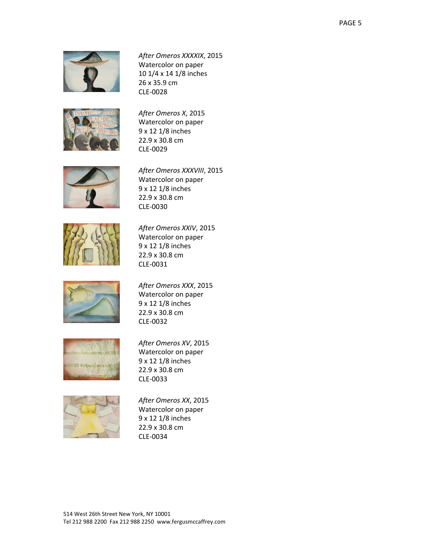

*After Omeros XXXXIX*, 2015 Watercolor on paper 10 1/4 x 14 1/8 inches 26 x 35.9 cm CLE-0028



*After Omeros X*, 2015 Watercolor on paper 9 x 12 1/8 inches 22.9 x 30.8 cm CLE-0029



*After Omeros XXXVIII*, 2015 Watercolor on paper 9 x 12 1/8 inches 22.9 x 30.8 cm CLE-0030



*After Omeros XXIV*, 2015 Watercolor on paper 9 x 12 1/8 inches 22.9 x 30.8 cm CLE-0031



*After Omeros XXX*, 2015 Watercolor on paper 9 x 12 1/8 inches 22.9 x 30.8 cm CLE-0032



*After Omeros XV*, 2015 Watercolor on paper 9 x 12 1/8 inches 22.9 x 30.8 cm CLE-0033



*After Omeros XX*, 2015 Watercolor on paper 9 x 12 1/8 inches 22.9 x 30.8 cm CLE-0034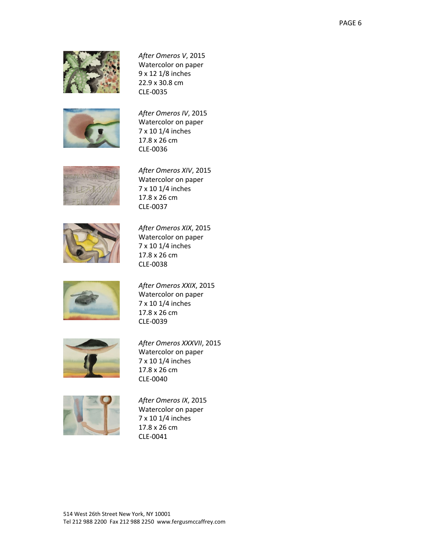

*After Omeros V*, 2015 Watercolor on paper 9 x 12 1/8 inches 22.9 x 30.8 cm CLE-0035



*After Omeros IV*, 2015 Watercolor on paper 7 x 10 1/4 inches 17.8 x 26 cm CLE-0036



*After Omeros XIV*, 2015 Watercolor on paper 7 x 10 1/4 inches 17.8 x 26 cm CLE-0037



*After Omeros XIX*, 2015 Watercolor on paper 7 x 10 1/4 inches 17.8 x 26 cm CLE-0038



*After Omeros XXIX*, 2015 Watercolor on paper 7 x 10 1/4 inches 17.8 x 26 cm CLE-0039



*After Omeros XXXVII*, 2015 Watercolor on paper 7 x 10 1/4 inches 17.8 x 26 cm CLE-0040



*After Omeros IX*, 2015 Watercolor on paper 7 x 10 1/4 inches 17.8 x 26 cm CLE-0041